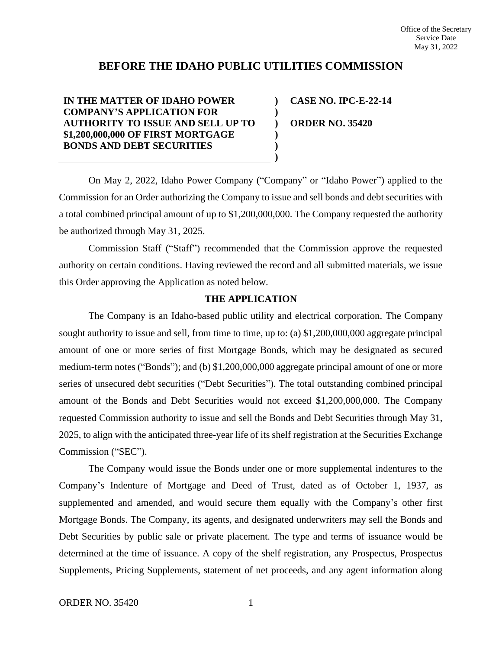# **BEFORE THE IDAHO PUBLIC UTILITIES COMMISSION**

**) ) ) ) ) )**

**IN THE MATTER OF IDAHO POWER COMPANY'S APPLICATION FOR AUTHORITY TO ISSUE AND SELL UP TO \$1,200,000,000 OF FIRST MORTGAGE BONDS AND DEBT SECURITIES**

**CASE NO. IPC-E-22-14 ORDER NO. 35420**

On May 2, 2022, Idaho Power Company ("Company" or "Idaho Power") applied to the Commission for an Order authorizing the Company to issue and sell bonds and debt securities with a total combined principal amount of up to \$1,200,000,000. The Company requested the authority be authorized through May 31, 2025.

Commission Staff ("Staff") recommended that the Commission approve the requested authority on certain conditions. Having reviewed the record and all submitted materials, we issue this Order approving the Application as noted below.

## **THE APPLICATION**

The Company is an Idaho-based public utility and electrical corporation. The Company sought authority to issue and sell, from time to time, up to: (a) \$1,200,000,000 aggregate principal amount of one or more series of first Mortgage Bonds, which may be designated as secured medium-term notes ("Bonds"); and (b) \$1,200,000,000 aggregate principal amount of one or more series of unsecured debt securities ("Debt Securities"). The total outstanding combined principal amount of the Bonds and Debt Securities would not exceed \$1,200,000,000. The Company requested Commission authority to issue and sell the Bonds and Debt Securities through May 31, 2025, to align with the anticipated three-year life of its shelf registration at the Securities Exchange Commission ("SEC").

The Company would issue the Bonds under one or more supplemental indentures to the Company's Indenture of Mortgage and Deed of Trust, dated as of October 1, 1937, as supplemented and amended, and would secure them equally with the Company's other first Mortgage Bonds. The Company, its agents, and designated underwriters may sell the Bonds and Debt Securities by public sale or private placement. The type and terms of issuance would be determined at the time of issuance. A copy of the shelf registration, any Prospectus, Prospectus Supplements, Pricing Supplements, statement of net proceeds, and any agent information along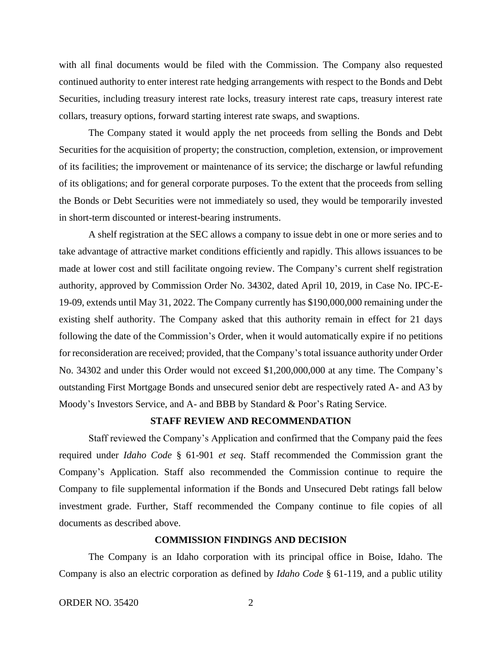with all final documents would be filed with the Commission. The Company also requested continued authority to enter interest rate hedging arrangements with respect to the Bonds and Debt Securities, including treasury interest rate locks, treasury interest rate caps, treasury interest rate collars, treasury options, forward starting interest rate swaps, and swaptions.

The Company stated it would apply the net proceeds from selling the Bonds and Debt Securities for the acquisition of property; the construction, completion, extension, or improvement of its facilities; the improvement or maintenance of its service; the discharge or lawful refunding of its obligations; and for general corporate purposes. To the extent that the proceeds from selling the Bonds or Debt Securities were not immediately so used, they would be temporarily invested in short-term discounted or interest-bearing instruments.

A shelf registration at the SEC allows a company to issue debt in one or more series and to take advantage of attractive market conditions efficiently and rapidly. This allows issuances to be made at lower cost and still facilitate ongoing review. The Company's current shelf registration authority, approved by Commission Order No. 34302, dated April 10, 2019, in Case No. IPC-E-19-09, extends until May 31, 2022. The Company currently has \$190,000,000 remaining under the existing shelf authority. The Company asked that this authority remain in effect for 21 days following the date of the Commission's Order, when it would automatically expire if no petitions for reconsideration are received; provided, that the Company's total issuance authority under Order No. 34302 and under this Order would not exceed \$1,200,000,000 at any time. The Company's outstanding First Mortgage Bonds and unsecured senior debt are respectively rated A- and A3 by Moody's Investors Service, and A- and BBB by Standard & Poor's Rating Service.

### **STAFF REVIEW AND RECOMMENDATION**

Staff reviewed the Company's Application and confirmed that the Company paid the fees required under *Idaho Code* § 61-901 *et seq*. Staff recommended the Commission grant the Company's Application. Staff also recommended the Commission continue to require the Company to file supplemental information if the Bonds and Unsecured Debt ratings fall below investment grade. Further, Staff recommended the Company continue to file copies of all documents as described above.

#### **COMMISSION FINDINGS AND DECISION**

The Company is an Idaho corporation with its principal office in Boise, Idaho. The Company is also an electric corporation as defined by *Idaho Code* § 61-119, and a public utility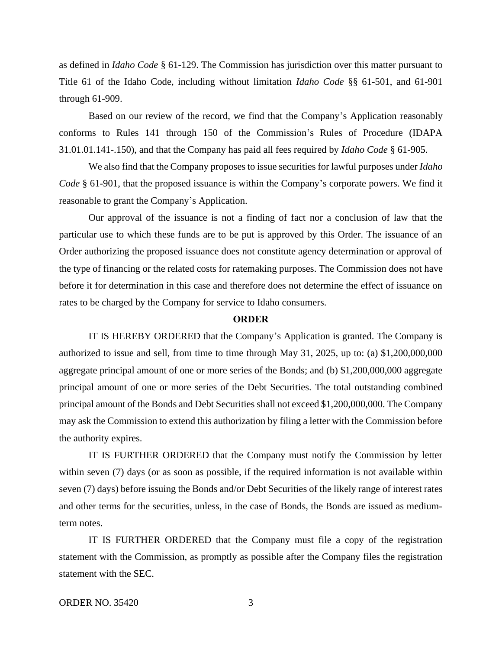as defined in *Idaho Code* § 61-129. The Commission has jurisdiction over this matter pursuant to Title 61 of the Idaho Code, including without limitation *Idaho Code* §§ 61-501, and 61-901 through 61-909.

Based on our review of the record, we find that the Company's Application reasonably conforms to Rules 141 through 150 of the Commission's Rules of Procedure (IDAPA 31.01.01.141-.150), and that the Company has paid all fees required by *Idaho Code* § 61-905.

We also find that the Company proposes to issue securities for lawful purposes under *Idaho Code* § 61-901, that the proposed issuance is within the Company's corporate powers. We find it reasonable to grant the Company's Application.

Our approval of the issuance is not a finding of fact nor a conclusion of law that the particular use to which these funds are to be put is approved by this Order. The issuance of an Order authorizing the proposed issuance does not constitute agency determination or approval of the type of financing or the related costs for ratemaking purposes. The Commission does not have before it for determination in this case and therefore does not determine the effect of issuance on rates to be charged by the Company for service to Idaho consumers.

#### **ORDER**

IT IS HEREBY ORDERED that the Company's Application is granted. The Company is authorized to issue and sell, from time to time through May 31, 2025, up to: (a) \$1,200,000,000 aggregate principal amount of one or more series of the Bonds; and (b) \$1,200,000,000 aggregate principal amount of one or more series of the Debt Securities. The total outstanding combined principal amount of the Bonds and Debt Securities shall not exceed \$1,200,000,000. The Company may ask the Commission to extend this authorization by filing a letter with the Commission before the authority expires.

IT IS FURTHER ORDERED that the Company must notify the Commission by letter within seven (7) days (or as soon as possible, if the required information is not available within seven (7) days) before issuing the Bonds and/or Debt Securities of the likely range of interest rates and other terms for the securities, unless, in the case of Bonds, the Bonds are issued as mediumterm notes.

IT IS FURTHER ORDERED that the Company must file a copy of the registration statement with the Commission, as promptly as possible after the Company files the registration statement with the SEC.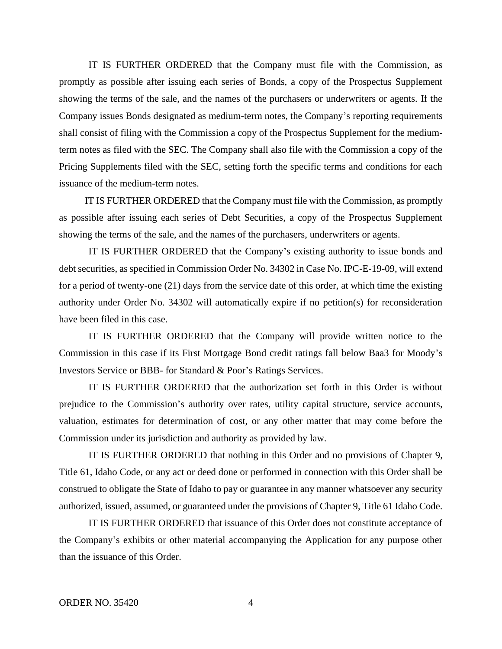IT IS FURTHER ORDERED that the Company must file with the Commission, as promptly as possible after issuing each series of Bonds, a copy of the Prospectus Supplement showing the terms of the sale, and the names of the purchasers or underwriters or agents. If the Company issues Bonds designated as medium-term notes, the Company's reporting requirements shall consist of filing with the Commission a copy of the Prospectus Supplement for the mediumterm notes as filed with the SEC. The Company shall also file with the Commission a copy of the Pricing Supplements filed with the SEC, setting forth the specific terms and conditions for each issuance of the medium-term notes.

IT IS FURTHER ORDERED that the Company must file with the Commission, as promptly as possible after issuing each series of Debt Securities, a copy of the Prospectus Supplement showing the terms of the sale, and the names of the purchasers, underwriters or agents.

IT IS FURTHER ORDERED that the Company's existing authority to issue bonds and debt securities, as specified in Commission Order No. 34302 in Case No. IPC-E-19-09, will extend for a period of twenty-one (21) days from the service date of this order, at which time the existing authority under Order No. 34302 will automatically expire if no petition(s) for reconsideration have been filed in this case.

IT IS FURTHER ORDERED that the Company will provide written notice to the Commission in this case if its First Mortgage Bond credit ratings fall below Baa3 for Moody's Investors Service or BBB- for Standard & Poor's Ratings Services.

IT IS FURTHER ORDERED that the authorization set forth in this Order is without prejudice to the Commission's authority over rates, utility capital structure, service accounts, valuation, estimates for determination of cost, or any other matter that may come before the Commission under its jurisdiction and authority as provided by law.

IT IS FURTHER ORDERED that nothing in this Order and no provisions of Chapter 9, Title 61, Idaho Code, or any act or deed done or performed in connection with this Order shall be construed to obligate the State of Idaho to pay or guarantee in any manner whatsoever any security authorized, issued, assumed, or guaranteed under the provisions of Chapter 9, Title 61 Idaho Code.

IT IS FURTHER ORDERED that issuance of this Order does not constitute acceptance of the Company's exhibits or other material accompanying the Application for any purpose other than the issuance of this Order.